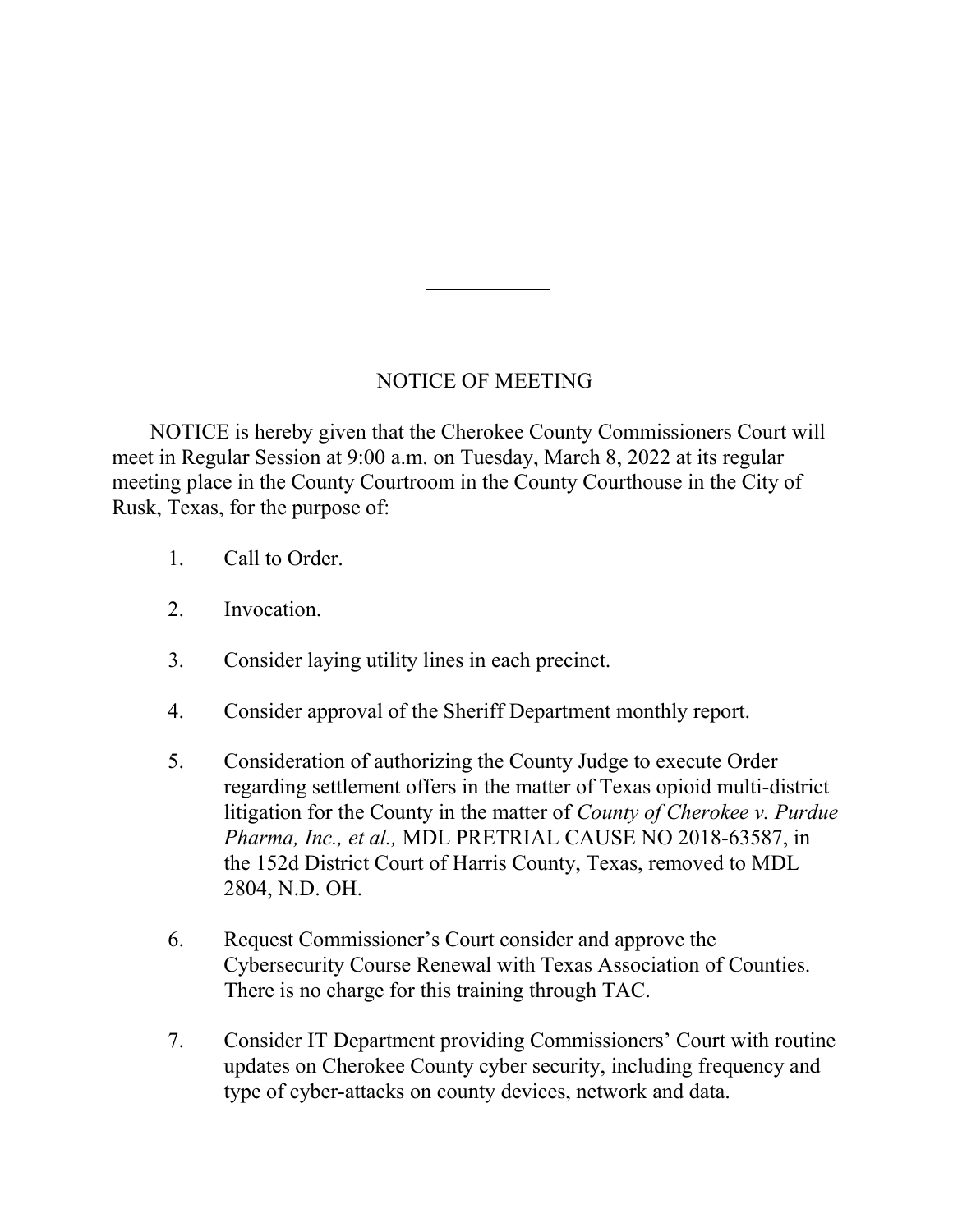## NOTICE OF MEETING

 NOTICE is hereby given that the Cherokee County Commissioners Court will meet in Regular Session at 9:00 a.m. on Tuesday, March 8, 2022 at its regular meeting place in the County Courtroom in the County Courthouse in the City of Rusk, Texas, for the purpose of:

- 1. Call to Order.
- 2. Invocation.
- 3. Consider laying utility lines in each precinct.
- 4. Consider approval of the Sheriff Department monthly report.
- 5. Consideration of authorizing the County Judge to execute Order regarding settlement offers in the matter of Texas opioid multi-district litigation for the County in the matter of County of Cherokee v. Purdue Pharma, Inc., et al., MDL PRETRIAL CAUSE NO 2018-63587, in the 152d District Court of Harris County, Texas, removed to MDL 2804, N.D. OH.
- 6. Request Commissioner's Court consider and approve the Cybersecurity Course Renewal with Texas Association of Counties. There is no charge for this training through TAC.
- 7. Consider IT Department providing Commissioners' Court with routine updates on Cherokee County cyber security, including frequency and type of cyber-attacks on county devices, network and data.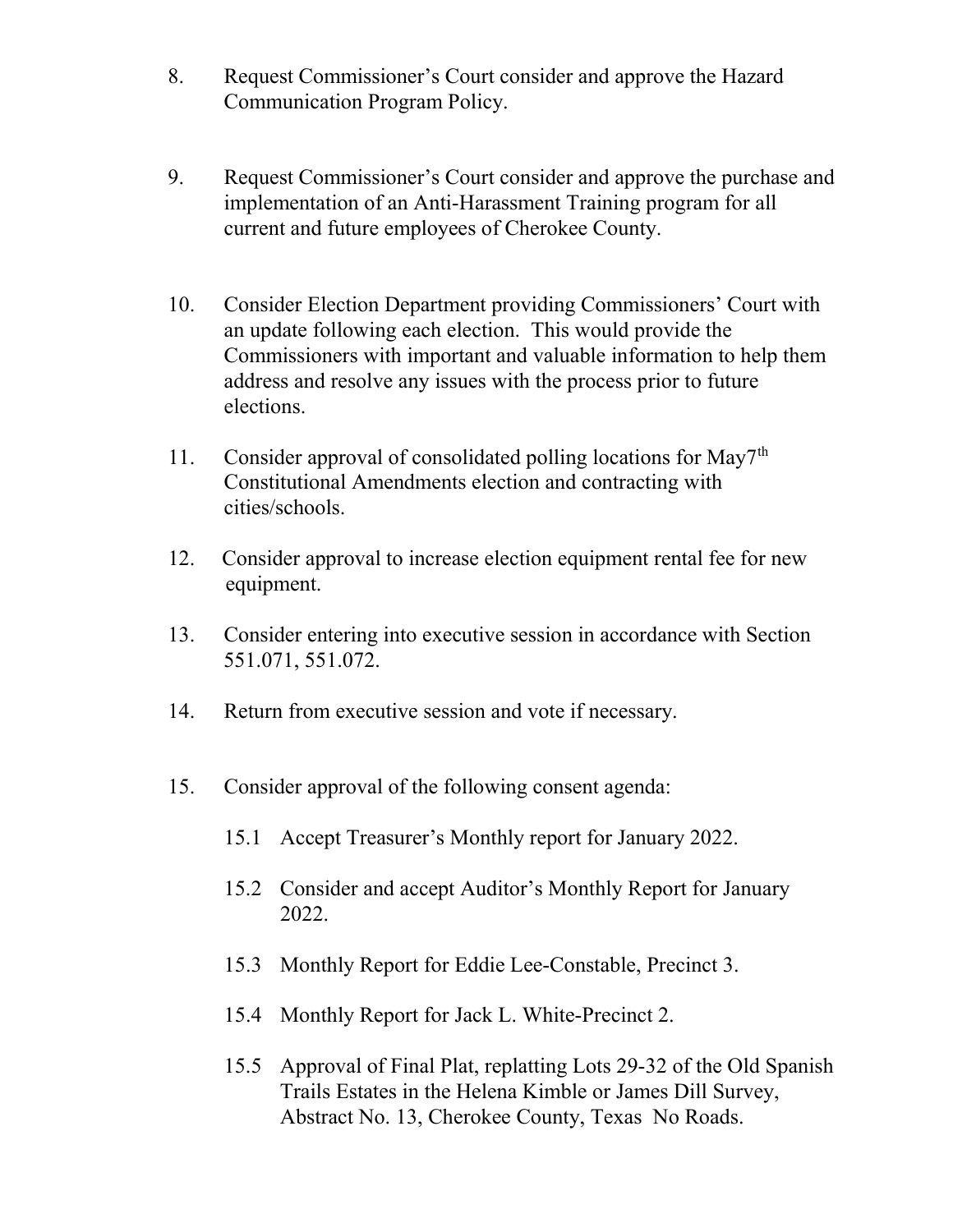- 8. Request Commissioner's Court consider and approve the Hazard Communication Program Policy.
- 9. Request Commissioner's Court consider and approve the purchase and implementation of an Anti-Harassment Training program for all current and future employees of Cherokee County.
- 10. Consider Election Department providing Commissioners' Court with an update following each election. This would provide the Commissioners with important and valuable information to help them address and resolve any issues with the process prior to future elections.
- 11. Consider approval of consolidated polling locations for May7<sup>th</sup> Constitutional Amendments election and contracting with cities/schools.
- 12. Consider approval to increase election equipment rental fee for new equipment.
- 13. Consider entering into executive session in accordance with Section 551.071, 551.072.
- 14. Return from executive session and vote if necessary.
- 15. Consider approval of the following consent agenda:
	- 15.1 Accept Treasurer's Monthly report for January 2022.
	- 15.2 Consider and accept Auditor's Monthly Report for January 2022.
	- 15.3 Monthly Report for Eddie Lee-Constable, Precinct 3.
	- 15.4 Monthly Report for Jack L. White-Precinct 2.
	- 15.5 Approval of Final Plat, replatting Lots 29-32 of the Old Spanish Trails Estates in the Helena Kimble or James Dill Survey, Abstract No. 13, Cherokee County, Texas No Roads.